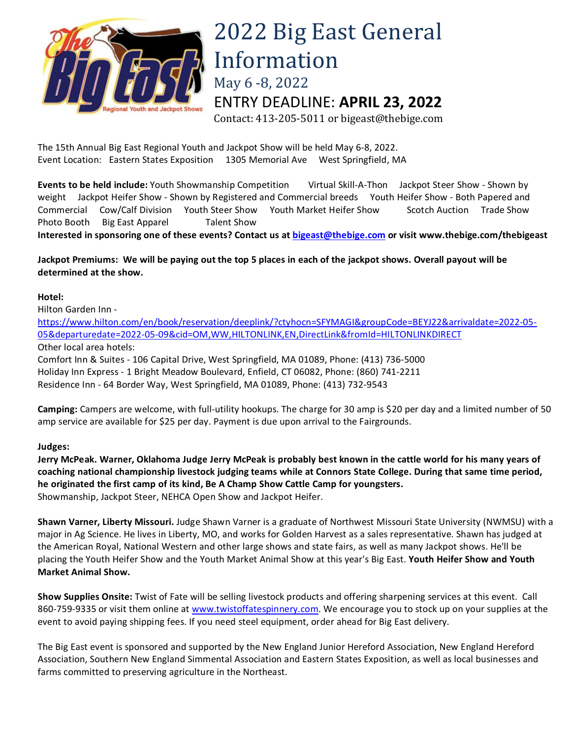

## 2022 Big East General Information May 6 -8, 2022 ENTRY DEADLINE: **APRIL 23, 2022**

Contact: 413-205-5011 or bigeast@thebige.com

The 15th Annual Big East Regional Youth and Jackpot Show will be held May 6-8, 2022. Event Location: Eastern States Exposition 1305 Memorial Ave West Springfield, MA

**Events to be held include:** Youth Showmanship Competition Virtual Skill-A-Thon Jackpot Steer Show - Shown by weight Jackpot Heifer Show - Shown by Registered and Commercial breeds Youth Heifer Show - Both Papered and Commercial Cow/Calf Division Youth Steer Show Youth Market Heifer Show Scotch Auction Trade Show Photo Booth Big East Apparel Talent Show

**Interested in sponsoring one of these events? Contact us a[t bigeast@thebige.com](mailto:bigeast@thebige.com) or visit www.thebige.com/thebigeast**

## **Jackpot Premiums: We will be paying out the top 5 places in each of the jackpot shows. Overall payout will be determined at the show.**

## **Hotel:**

Hilton Garden Inn -

[https://www.hilton.com/en/book/reservation/deeplink/?ctyhocn=SFYMAGI&groupCode=BEYJ22&arrivaldate=2022-05-](https://www.hilton.com/en/book/reservation/deeplink/?ctyhocn=SFYMAGI&groupCode=BEYJ22&arrivaldate=2022-05-05&departuredate=2022-05-09&cid=OM,WW,HILTONLINK,EN,DirectLink&fromId=HILTONLINKDIRECT) [05&departuredate=2022-05-09&cid=OM,WW,HILTONLINK,EN,DirectLink&fromId=HILTONLINKDIRECT](https://www.hilton.com/en/book/reservation/deeplink/?ctyhocn=SFYMAGI&groupCode=BEYJ22&arrivaldate=2022-05-05&departuredate=2022-05-09&cid=OM,WW,HILTONLINK,EN,DirectLink&fromId=HILTONLINKDIRECT) Other local area hotels:

Comfort Inn & Suites - 106 Capital Drive, West Springfield, MA 01089, Phone: (413) 736-5000 Holiday Inn Express - 1 Bright Meadow Boulevard, Enfield, CT 06082, Phone: (860) 741-2211 Residence Inn - 64 Border Way, West Springfield, MA 01089, Phone: (413) 732-9543

**Camping:** Campers are welcome, with full-utility hookups. The charge for 30 amp is \$20 per day and a limited number of 50 amp service are available for \$25 per day. Payment is due upon arrival to the Fairgrounds.

## **Judges:**

**Jerry McPeak. Warner, Oklahoma Judge Jerry McPeak is probably best known in the cattle world for his many years of coaching national championship livestock judging teams while at Connors State College. During that same time period, he originated the first camp of its kind, Be A Champ Show Cattle Camp for youngsters.** Showmanship, Jackpot Steer, NEHCA Open Show and Jackpot Heifer.

**Shawn Varner, Liberty Missouri.** Judge Shawn Varner is a graduate of Northwest Missouri State University (NWMSU) with a major in Ag Science. He lives in Liberty, MO, and works for Golden Harvest as a sales representative. Shawn has judged at the American Royal, National Western and other large shows and state fairs, as well as many Jackpot shows. He'll be placing the Youth Heifer Show and the Youth Market Animal Show at this year's Big East. **Youth Heifer Show and Youth Market Animal Show.** 

**Show Supplies Onsite:** Twist of Fate will be selling livestock products and offering sharpening services at this event. Call 860-759-9335 or visit them online at [www.twistoffatespinnery.com.](http://www.twistoffatespinnery.com/) We encourage you to stock up on your supplies at the event to avoid paying shipping fees. If you need steel equipment, order ahead for Big East delivery.

The Big East event is sponsored and supported by the New England Junior Hereford Association, New England Hereford Association, Southern New England Simmental Association and Eastern States Exposition, as well as local businesses and farms committed to preserving agriculture in the Northeast.